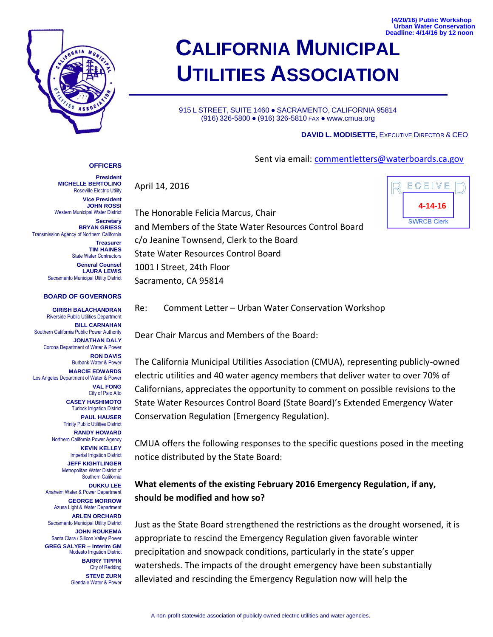

**OFFICERS President**

**Secretary BRYAN GRIESS**

**Treasurer TIM HAINES** State Water Contractors **General Counsel LAURA LEWIS**

**MICHELLE BERTOLINO** Roseville Electric Utility **Vice President JOHN ROSSI**

Western Municipal Water District

Sacramento Municipal Utility District

**BOARD OF GOVERNORS**

Riverside Public Utilities Department

Transmission Agency of Northern California

# **CALIFORNIA MUNICIPAL UTILITIES ASSOCIATION**

915 L STREET, SUITE 1460 · SACRAMENTO, CALIFORNIA 95814 (916) 326-5800 ● (916) 326-5810 FAX ● www.cmua.org

#### **DAVID L. MODISETTE,** EXECUTIVE DIRECTOR & CEO

Sent via email: commentletters@waterboards.ca.gov

April 14, 2016

The Honorable Felicia Marcus, Chair and Members of the State Water Resources Control Board c/o Jeanine Townsend, Clerk to the Board State Water Resources Control Board 1001 I Street, 24th Floor Sacramento, CA 95814



Re: Comment Letter – Urban Water Conservation Workshop **GIRISH BALACHANDRAN**

Dear Chair Marcus and Members of the Board: Conservation Regulation (Emergency Regulation). **BILL CARNAHAN** Southern California Public Power Authority **JONATHAN DALY** Corona Department of Water & Power **RON DAVIS** Burbank Water & Power **MARCIE EDWARDS** Los Angeles Department of Water & Power **VAL FONG** City of Palo Alto **CASEY HASHIMOTO** Turlock Irrigation District **PAUL HAUSER** Trinity Public Utilities District **RANDY HOWARD** Northern California Power Agency **KEVIN KELLEY** Imperial Irrigation District **JEFF KIGHTLINGER** Metropolitan Water District of Southern California **DUKKU LEE** Anaheim Water & Power Department **GEORGE MORROW** Azusa Light & Water Department **ARLEN ORCHARD** Sacramento Municipal Utility District **JOHN ROUKEMA** Santa Clara / Silicon Valley Power **GREG SALYER – Interim GM** Modesto Irrigation District **BARRY TIPPIN** City of Redding **STEVE ZURN** Glendale Water & Power

The California Municipal Utilities Association (CMUA), representing publicly-owned electric utilities and 40 water agency members that deliver water to over 70% of Californians, appreciates the opportunity to comment on possible revisions to the State Water Resources Control Board (State Board)'s Extended Emergency Water

CMUA offers the following responses to the specific questions posed in the meeting notice distributed by the State Board:

#### **What elements of the existing February 2016 Emergency Regulation, if any, should be modified and how so?**

Just as the State Board strengthened the restrictions as the drought worsened, it is appropriate to rescind the Emergency Regulation given favorable winter precipitation and snowpack conditions, particularly in the state's upper watersheds. The impacts of the drought emergency have been substantially alleviated and rescinding the Emergency Regulation now will help the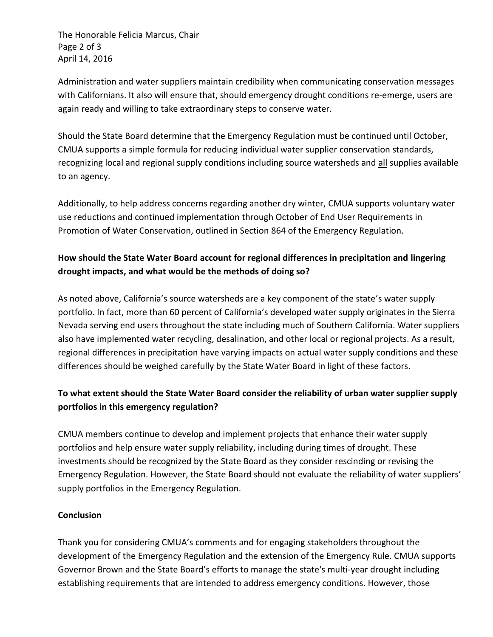The Honorable Felicia Marcus, Chair Page 2 of 3 April 14, 2016

Administration and water suppliers maintain credibility when communicating conservation messages with Californians. It also will ensure that, should emergency drought conditions re-emerge, users are again ready and willing to take extraordinary steps to conserve water.

Should the State Board determine that the Emergency Regulation must be continued until October, CMUA supports a simple formula for reducing individual water supplier conservation standards, recognizing local and regional supply conditions including source watersheds and all supplies available to an agency.

Additionally, to help address concerns regarding another dry winter, CMUA supports voluntary water use reductions and continued implementation through October of End User Requirements in Promotion of Water Conservation, outlined in Section 864 of the Emergency Regulation.

### **How should the State Water Board account for regional differences in precipitation and lingering drought impacts, and what would be the methods of doing so?**

As noted above, California's source watersheds are a key component of the state's water supply portfolio. In fact, more than 60 percent of California's developed water supply originates in the Sierra Nevada serving end users throughout the state including much of Southern California. Water suppliers also have implemented water recycling, desalination, and other local or regional projects. As a result, regional differences in precipitation have varying impacts on actual water supply conditions and these differences should be weighed carefully by the State Water Board in light of these factors.

## **To what extent should the State Water Board consider the reliability of urban water supplier supply portfolios in this emergency regulation?**

CMUA members continue to develop and implement projects that enhance their water supply portfolios and help ensure water supply reliability, including during times of drought. These investments should be recognized by the State Board as they consider rescinding or revising the Emergency Regulation. However, the State Board should not evaluate the reliability of water suppliers' supply portfolios in the Emergency Regulation.

#### **Conclusion**

Thank you for considering CMUA's comments and for engaging stakeholders throughout the development of the Emergency Regulation and the extension of the Emergency Rule. CMUA supports Governor Brown and the State Board's efforts to manage the state's multi-year drought including establishing requirements that are intended to address emergency conditions. However, those